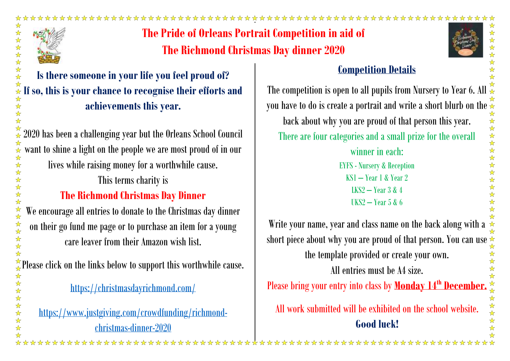☆☆☆☆☆☆☆☆☆☆☆☆☆☆☆

**The Pride of Orleans Portrait Competition in aid of The Richmond Christmas Day dinner 2020**



# **Is there someone in your life you feel proud of? If so, this is your chance to recognise their efforts and achievements this year.**

2020 has been a challenging year but the Orleans School Council 卒 want to shine a light on the people we are most proud of in our ☆☆☆☆☆☆☆☆☆☆☆☆☆☆☆

lives while raising money for a worthwhile cause.

This terms charity is

# **The Richmond Christmas Day Dinner**

We encourage all entries to donate to the Christmas day dinner on their go fund me page or to purchase an item for a young care leaver from their Amazon wish list.

Please click on the links below to support this worthwhile cause. :☆☆☆☆☆☆☆☆☆☆

## <https://christmasdayrichmond.com/>

[https://www.justgiving.com/crowdfunding/richmond](https://www.justgiving.com/crowdfunding/richmond-christmas-dinner-2020)[christmas-dinner-2020](https://www.justgiving.com/crowdfunding/richmond-christmas-dinner-2020)

## **Competition Details**

The competition is open to all pupils from Nursery to Year 6. All  $\frac{1}{2}$ you have to do is create a portrait and write a short blurb on the  $\frac{2}{3}$ <br>back about why you are proud of that person this year.<br>There are four categories and a small prize for the overall<br>winner in each:<br>EYFS - Nurser back about why you are proud of that person this year. There are four categories and a small prize for the overall winner in each: EYFS - Nursery & Reception KS1 – Year 1 & Year 2 LKS2 – Year 3 & 4  $I$  IKS2 – Year 5 & 6

Write your name, year and class name on the back along with a  $\overrightarrow{\ast}$ short piece about why you are proud of that person. You can use  $\frac{1}{\infty}$ the template provided or create your own. All entries must be A4 size. Please bring your entry into class by **Monday 14th December.**

All work submitted will be exhibited on the school website. **Good luck!**